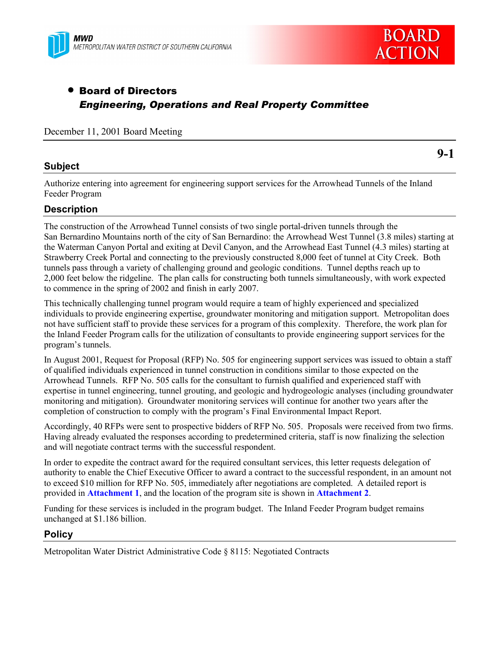



# • Board of Directors *Engineering, Operations and Real Property Committee*

December 11, 2001 Board Meeting

### **Subject**

**9-1**

Authorize entering into agreement for engineering support services for the Arrowhead Tunnels of the Inland Feeder Program

### **Description**

The construction of the Arrowhead Tunnel consists of two single portal-driven tunnels through the San Bernardino Mountains north of the city of San Bernardino: the Arrowhead West Tunnel (3.8 miles) starting at the Waterman Canyon Portal and exiting at Devil Canyon, and the Arrowhead East Tunnel (4.3 miles) starting at Strawberry Creek Portal and connecting to the previously constructed 8,000 feet of tunnel at City Creek. Both tunnels pass through a variety of challenging ground and geologic conditions. Tunnel depths reach up to 2,000 feet below the ridgeline. The plan calls for constructing both tunnels simultaneously, with work expected to commence in the spring of 2002 and finish in early 2007.

This technically challenging tunnel program would require a team of highly experienced and specialized individuals to provide engineering expertise, groundwater monitoring and mitigation support. Metropolitan does not have sufficient staff to provide these services for a program of this complexity. Therefore, the work plan for the Inland Feeder Program calls for the utilization of consultants to provide engineering support services for the program's tunnels.

In August 2001, Request for Proposal (RFP) No. 505 for engineering support services was issued to obtain a staff of qualified individuals experienced in tunnel construction in conditions similar to those expected on the Arrowhead Tunnels. RFP No. 505 calls for the consultant to furnish qualified and experienced staff with expertise in tunnel engineering, tunnel grouting, and geologic and hydrogeologic analyses (including groundwater monitoring and mitigation). Groundwater monitoring services will continue for another two years after the completion of construction to comply with the program's Final Environmental Impact Report.

Accordingly, 40 RFPs were sent to prospective bidders of RFP No. 505. Proposals were received from two firms. Having already evaluated the responses according to predetermined criteria, staff is now finalizing the selection and will negotiate contract terms with the successful respondent.

In order to expedite the contract award for the required consultant services, this letter requests delegation of authority to enable the Chief Executive Officer to award a contract to the successful respondent, in an amount not to exceed \$10 million for RFP No. 505, immediately after negotiations are completed. A detailed report is provided in **Attachment 1**, and the location of the program site is shown in **Attachment 2**.

Funding for these services is included in the program budget. The Inland Feeder Program budget remains unchanged at \$1.186 billion.

#### **Policy**

Metropolitan Water District Administrative Code ß 8115: Negotiated Contracts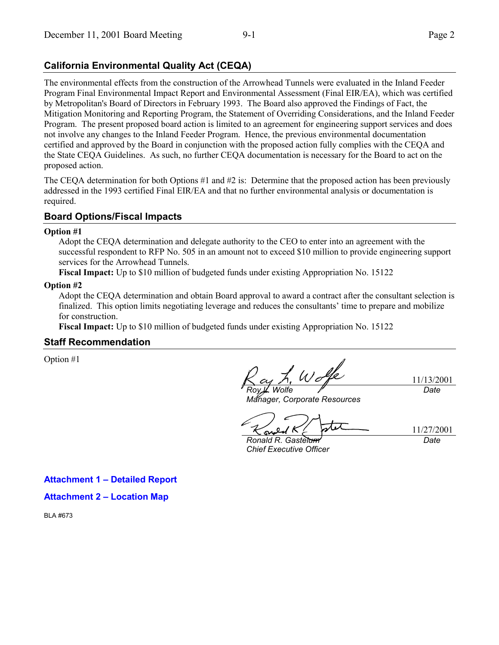# **California Environmental Quality Act (CEQA)**

The environmental effects from the construction of the Arrowhead Tunnels were evaluated in the Inland Feeder Program Final Environmental Impact Report and Environmental Assessment (Final EIR/EA), which was certified by Metropolitan's Board of Directors in February 1993. The Board also approved the Findings of Fact, the Mitigation Monitoring and Reporting Program, the Statement of Overriding Considerations, and the Inland Feeder Program. The present proposed board action is limited to an agreement for engineering support services and does not involve any changes to the Inland Feeder Program. Hence, the previous environmental documentation certified and approved by the Board in conjunction with the proposed action fully complies with the CEQA and the State CEQA Guidelines. As such, no further CEQA documentation is necessary for the Board to act on the proposed action.

The CEQA determination for both Options #1 and #2 is: Determine that the proposed action has been previously addressed in the 1993 certified Final EIR/EA and that no further environmental analysis or documentation is required.

### **Board Options/Fiscal Impacts**

#### **Option #1**

Adopt the CEQA determination and delegate authority to the CEO to enter into an agreement with the successful respondent to RFP No. 505 in an amount not to exceed \$10 million to provide engineering support services for the Arrowhead Tunnels.

**Fiscal Impact:** Up to \$10 million of budgeted funds under existing Appropriation No. 15122

#### **Option #2**

Adopt the CEQA determination and obtain Board approval to award a contract after the consultant selection is finalized. This option limits negotiating leverage and reduces the consultants' time to prepare and mobilize for construction.

**Fiscal Impact:** Up to \$10 million of budgeted funds under existing Appropriation No. 15122

#### **Staff Recommendation**

Option #1

**Wolfe** 

11/13/2001 *Date*

*Manager, Corporate Resources*

11/27/2001 *Date*

*Ronald R. Gastelum Chief Executive Officer*

**Attachment 1 - Detailed Report** 

**Attachment 2 - Location Map** 

BLA #673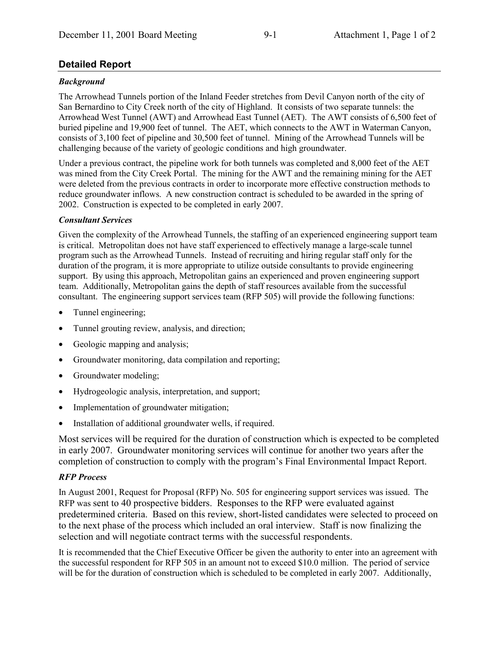# **Detailed Report**

## *Background*

The Arrowhead Tunnels portion of the Inland Feeder stretches from Devil Canyon north of the city of San Bernardino to City Creek north of the city of Highland. It consists of two separate tunnels: the Arrowhead West Tunnel (AWT) and Arrowhead East Tunnel (AET). The AWT consists of 6,500 feet of buried pipeline and 19,900 feet of tunnel. The AET, which connects to the AWT in Waterman Canyon, consists of 3,100 feet of pipeline and 30,500 feet of tunnel. Mining of the Arrowhead Tunnels will be challenging because of the variety of geologic conditions and high groundwater.

Under a previous contract, the pipeline work for both tunnels was completed and 8,000 feet of the AET was mined from the City Creek Portal. The mining for the AWT and the remaining mining for the AET were deleted from the previous contracts in order to incorporate more effective construction methods to reduce groundwater inflows. A new construction contract is scheduled to be awarded in the spring of 2002. Construction is expected to be completed in early 2007.

### *Consultant Services*

Given the complexity of the Arrowhead Tunnels, the staffing of an experienced engineering support team is critical. Metropolitan does not have staff experienced to effectively manage a large-scale tunnel program such as the Arrowhead Tunnels. Instead of recruiting and hiring regular staff only for the duration of the program, it is more appropriate to utilize outside consultants to provide engineering support. By using this approach, Metropolitan gains an experienced and proven engineering support team. Additionally, Metropolitan gains the depth of staff resources available from the successful consultant. The engineering support services team (RFP 505) will provide the following functions:

- Tunnel engineering;
- Tunnel grouting review, analysis, and direction;
- Geologic mapping and analysis;
- Groundwater monitoring, data compilation and reporting;
- Groundwater modeling;
- Hydrogeologic analysis, interpretation, and support;
- Implementation of groundwater mitigation;
- Installation of additional groundwater wells, if required.

Most services will be required for the duration of construction which is expected to be completed in early 2007. Groundwater monitoring services will continue for another two years after the completion of construction to comply with the program's Final Environmental Impact Report.

# *RFP Process*

In August 2001, Request for Proposal (RFP) No. 505 for engineering support services was issued. The RFP was sent to 40 prospective bidders. Responses to the RFP were evaluated against predetermined criteria. Based on this review, short-listed candidates were selected to proceed on to the next phase of the process which included an oral interview. Staff is now finalizing the selection and will negotiate contract terms with the successful respondents.

It is recommended that the Chief Executive Officer be given the authority to enter into an agreement with the successful respondent for RFP 505 in an amount not to exceed \$10.0 million. The period of service will be for the duration of construction which is scheduled to be completed in early 2007. Additionally,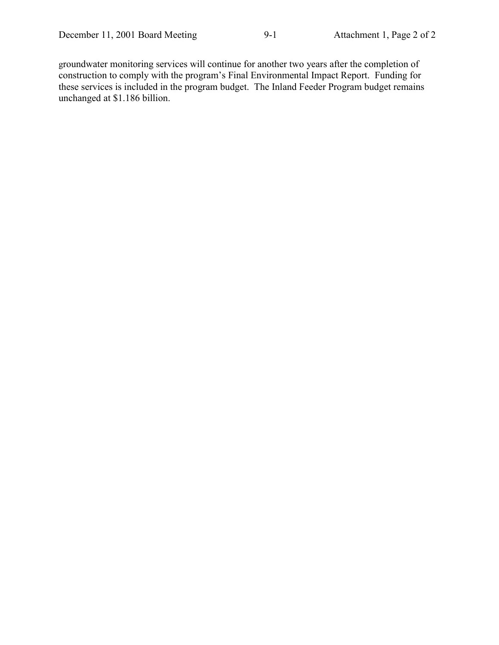groundwater monitoring services will continue for another two years after the completion of construction to comply with the program's Final Environmental Impact Report. Funding for these services is included in the program budget. The Inland Feeder Program budget remains unchanged at \$1.186 billion.